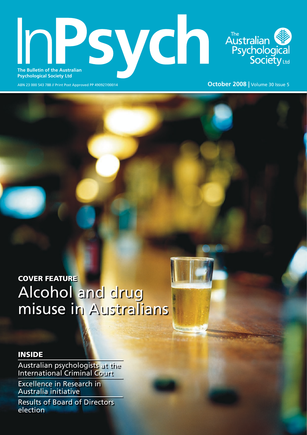# **The Bulletin of the Australian** Australian<br>Psychological<br>Society<sub>Ltd</sub> **Psychological Society Ltd**

ABN 23 000 543 788 // Print Post Approved PP 490927/00014 **October 2008 |** Volume 30 Issue 5

## COVER FEATURE Alcohol and drug misuse in Australians

## INSIDE

Australian psychologists at the International Criminal Court

Excellence in Research in Australia initiative

Results of Board of Directors election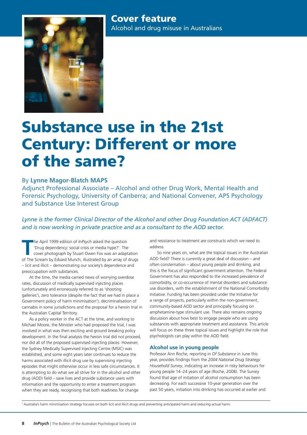

## Substance use in the 21st Century: Different or more of the same?

### By **Lynne Magor-Blatch MAPS**

Adjunct Professional Associate – Alcohol and other Drug Work, Mental Health and Forensic Psychology, University of Canberra; and National Convener, APS Psychology and Substance Use Interest Group

*Lynne is the former Clinical Director of the Alcohol and other Drug Foundation ACT (ADFACT) and is now working in private practice and as a consultant to the AOD sector.*

The April 1999 edition of *InPsych* asked the question<br>
'Drug dependency: social crisis or media hype?'. The<br>
cover photograph by Stuart Owen Fox was an adaptation<br>
of The Scream by Edvard Munch, illustrated by an array of he April 1999 edition of *InPsych* asked the question 'Drug dependency: social crisis or media hype?'. The cover photograph by Stuart Owen Fox was an adaptation – licit and illicit – demonstrating our society's dependence and preoccupation with substances.

At the time, the media carried news of worrying overdose rates, discussion of medically supervised injecting places (unfortunately and erroneously referred to as 'shooting galleries'), zero tolerance (despite the fact that we had in place a Government policy of harm minimisation<sup>1</sup>), decriminalisation of cannabis in some jurisdictions and the proposal for a heroin trial in the Australian Capital Territory.

As a policy worker in the ACT at the time, and working to Michael Moore, the Minister who had proposed the trial, I was involved in what was then exciting and ground breaking policy development. In the final analysis the heroin trial did not proceed, nor did all of the proposed supervised injecting places. However, the Sydney Medically Supervised Injecting Centre (MSIC) was established, and some eight years later continues to reduce the harms associated with illicit drug use by supervising injecting episodes that might otherwise occur in less safe circumstances. It is attempting to do what we all strive for in the alcohol and other drug (AOD) field – save lives and provide substance users with information and the opportunity to enter a treatment program when they are ready, recognising that both readiness for change

and resistance to treatment are constructs which we need to address.

So nine years on, what are the topical issues in the Australian AOD field? There is currently a great deal of discussion – and often consternation – about young people and drinking, and this is the focus of significant government attention. The Federal Government has also responded to the increased prevalence of comorbidity, or co-occurrence of mental disorders and substance use disorders, with the establishment of the National Comorbidity Initiative. Funding has been provided under the Initiative for a range of projects, particularly within the non-government, community-based AOD sector and principally focusing on amphetamine-type stimulant use. There also remains ongoing discussion about how best to engage people who are using substances with appropriate treatment and assistance. This article will focus on these three topical issues and highlight the role that psychologists can play within the AOD field.

#### **Alcohol use in young people**

Professor Ann Roche, reporting in *Of Substance* in June this year, provides findings from the *2004 National Drug Strategy Household Survey*, indicating an increase in risky behaviours for young people 14–24 years of age (Roche, 2008). The Survey found that age of initiation of alcohol consumption has been decreasing. For each successive 10-year generation over the past 50 years, initiation into drinking has occurred at earlier and

1 Australia's harm minimisation strategy focuses on both licit and illicit drugs and preventing anticipated harm and reducing actual harm.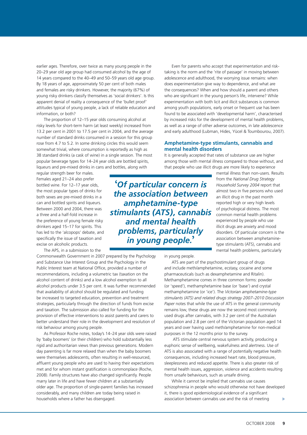earlier ages. Therefore, over twice as many young people in the 20–29 year old age group had consumed alcohol by the age of 14 years compared to the 40–49 and 50–59 years old age group. By 18 years of age, approximately 50 per cent of both males and females are risky drinkers. However, the majority (67%) of young risky drinkers classify themselves as 'social drinkers'. Is this apparent denial of reality a consequence of the 'bullet proof' attitudes typical of young people, a lack of reliable education and information, or both?

The proportion of 12–15 year olds consuming alcohol at risky levels for short-term harm (at least weekly) increased from 13.2 per cent in 2001 to 17.5 per cent in 2004, and the average number of standard drinks consumed in a session for this group rose from 4.7 to 5.2. In some drinking circles this would seem somewhat trivial, where consumption is reportedly as high as 38 standard drinks (a cask of wine) in a single session. The most popular beverage types for 14–24 year olds are bottled spirits, liqueurs and pre-mixed drinks in cans and bottles, along with

regular strength beer for males. Females aged 21–24 also prefer bottled wine. For 12–17 year olds, the most popular types of drinks for both sexes are pre-mixed drinks in a can and bottled spirits and liqueurs. Between 2000 and 2004, there was a three and a half-fold increase in the preference of young female risky drinkers aged 15–17 for spirits. This has led to the 'alcopops' debate, and specifically the issue of taxation and excise on alcoholic products.

The APS, in a submission to the

Commonwealth Government in 2007 prepared by the Psychology and Substance Use Interest Group and the Psychology in the Public Interest team at National Office, provided a number of recommendations, including a volumetric tax (taxation on the alcohol content of drinks) and a low alcohol exemption to all alcohol products under 3.5 per cent. It was further recommended that availability of alcohol should be regulated and funding be increased to targeted education, prevention and treatment strategies, particularly through the direction of funds from excise and taxation. The submission also called for funding for the provision of effective interventions to assist parents and carers to better understand their role in the development and resolution of risk behaviour among young people.

As Professor Roche notes, today's 14–24 year olds were raised by 'baby boomers' (or their children) who hold substantially less rigid and authoritarian views than previous generations. Modern day parenting is far more relaxed than when the baby boomers were themselves adolescents, often resulting in well-resourced, affluent young people who are used to having their expectations met and for whom instant gratification is commonplace (Roche, 2008). Family structures have also changed significantly. People marry later in life and have fewer children at a substantially older age. The proportion of single-parent families has increased considerably, and many children are today being raised in households where a father has disengaged.

Even for parents who accept that experimentation and risktaking is the norm and the 'rite of passage' in moving between adolescence and adulthood, the worrying issue remains: when does experimentation give way to dependence, and what are the consequences? When and how should a parent and others who are significant in the young person's life, intervene? While experimentation with both licit and illicit substances is common among youth populations, early onset or frequent use has been found to be associated with 'developmental harm', characterised by increased risks for the development of mental health problems, as well as a range of other adverse outcomes, in late adolescence and early adulthood (Lubman, Hides, Yücel & Toumbourou, 2007).

#### **Amphetamine-type stimulants, cannabis and mental health disorders**

It is generally accepted that rates of substance use are higher among those with mental illness compared to those without, and that people who use illicit drugs are more likely to experience

**'***Of particular concern is the association between amphetamine-type stimulants (ATS), cannabis and mental health problems, particularly in young people.***'**

mental illness than non-users. Results from the *National Drug Strategy Household Survey 2004* report that almost two in five persons who used an illicit drug in the past month reported high or very high levels of psychological distress. The most common mental health problems experienced by people who use illicit drugs are anxiety and mood disorders. Of particular concern is the association between amphetaminetype stimulants (ATS), cannabis and mental health problems, particularly

in young people.

ATS are part of the psychostimulant group of drugs and include meth/amphetamine, ecstasy, cocaine and some pharmaceuticals (such as dexamphetamine and Ritalin). Methamphetamine comes in three common forms: powder (or 'speed'), methamphetamine base (or 'base') and crystal methamphetamine (or 'ice'). The *Victorian amphetamine-type stimulants (ATS) and related drugs strategy 2007–2010 Discussion Paper* notes that while the use of ATS in the general community remains low, these drugs are now the second most commonly used drugs after cannabis, with 3.2 per cent of the Australian population and 2.8 per cent of the Victorian population aged 14 years and over having used meth/amphetamine for non-medical purposes in the 12 months prior to the survey.

 ATS stimulate central nervous system activity, producing a euphoric sense of wellbeing, wakefulness and alertness. Use of ATS is also associated with a range of potentially negative health consequences, including increased heart rate, blood pressure, sleeplessness and reduced appetite. There is also greater risk of mental health issues, aggression, violence and accidents resulting from unsafe behaviours, such as unsafe driving.

While it cannot be implied that cannabis use causes schizophrenia in people who would otherwise not have developed it, there is good epidemiological evidence of a significant association between cannabis use and the risk of meeting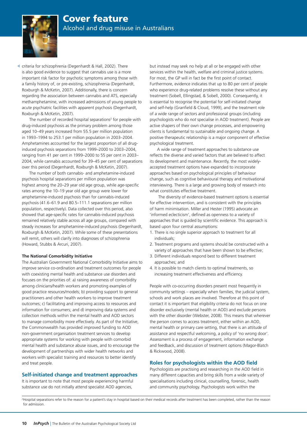

criteria for schizophrenia (Degenhardt & Hall, 2002). There is also good evidence to suggest that cannabis use is a more important risk factor for psychotic symptoms among those with a family history of, or pre-existing, schizophrenia (Degenhardt, Roxburgh & McKetin, 2007). Additionally, there is concern regarding the association between cannabis and ATS, especially methamphetamine, with increased admissions of young people to acute psychiatric facilities with apparent psychosis (Degenhardt, Roxburgh & McKetin, 2007).

The number of recorded hospital separations<sup>2</sup> for people with drug-induced psychosis as the primary problem among those aged 10–49 years increased from 55.5 per million population in 1993–1994 to 253.1 per million population in 2003–2004. Amphetamines accounted for the largest proportion of all druginduced psychosis separations from 1999–2000 to 2003–2004, ranging from 41 per cent in 1999–2000 to 55 per cent in 2003– 2004, while cannabis accounted for 39–45 per cent of separations over this period (Degenhardt, Roxburgh & McKetin, 2007).

The number of both cannabis- and amphetamine-induced psychosis hospital separations per million population was highest among the 20–29 year old age group, while age-specific rates among the 10–19 year old age group were lower for amphetamine-induced psychosis than for cannabis-induced psychosis (41.6–61.9 and 80.5–111.1 separations per million population, respectively). Data collected over this period, also showed that age-specific rates for cannabis-induced psychosis remained relatively stable across all age groups, compared with steady increases for amphetamine-induced psychosis (Degenhardt, Roxburgh & McKetin, 2007). While some of these presentations will remit, others will clarify into diagnoses of schizophrenia (Howard, Stubbs & Arcuri, 2007).

#### **The National Comorbidity Initiative**

The Australian Government National Comorbidity Initiative aims to improve service co-ordination and treatment outcomes for people with coexisting mental health and substance use disorders and focuses on the priorities of: a) raising awareness of comorbidity among clinicians/health workers and promoting examples of good practice resources/models; b) providing support to general practitioners and other health workers to improve treatment outcomes; c) facilitating and improving access to resources and information for consumers; and d) improving data systems and collection methods within the mental health and AOD sectors to manage comorbidity more effectively. As part of the Initiative, the Commonwealth has provided improved funding to AOD non-government organisation treatment services to develop appropriate systems for working with people with comorbid mental health and substance abuse issues, and to encourage the development of partnerships with wider health networks and workers with specialist training and resources to better identify and treat people.

#### **Self-initiated change and treatment approaches**

It is important to note that most people experiencing harmful substance use do not initially attend specialist AOD agencies,

but instead may seek no help at all or be engaged with other services within the health, welfare and criminal justice systems. For most, the GP will in fact be the first point of contact. Furthermore, evidence indicates that up to 80 per cent of people who experience drug-related problems resolve these without any treatment (Sobell, Ellingstad, & Sobell, 2000). Consequently, it is essential to recognise the potential for self-initiated change and self-help (Granfield & Cloud, 1999), and the treatment role of a wide range of sectors and professional groups (including psychologists who do *not* specialise in AOD treatment). People are active shapers of their own change processes, and empowering clients is fundamental to sustainable and ongoing change. A positive therapeutic relationship is a major component of effective psychological treatment.

A wide range of treatment approaches to substance use reflects the diverse and varied factors that are believed to affect its development and maintenance. Recently, the most widelyaccepted treatment options have expanded to incorporate approaches based on psychological principles of behaviour change, such as cognitive behavioural therapy and motivational interviewing. There is a large and growing body of research into what constitutes effective treatment.

 The diversity of evidence-based treatment options is essential for effective intervention, and is consistent with the principles of harm minimisation. Miller and Hester (1995) advocate an 'informed eclecticism', defined as openness to a variety of approaches that is guided by scientific evidence. This approach is based upon four central assumptions:

- 1. There is no single superior approach to treatment for all individuals;
- 2. Treatment programs and systems should be constructed with a variety of approaches that have been shown to be effective;
- 3. Different individuals respond best to different treatment approaches; and
- 4. It is possible to match clients to optimal treatments, so increasing treatment effectiveness and efficiency.

People with co-occurring disorders present most frequently in community settings – especially when families, the judicial system, schools and work places are involved. Therefore at this point of contact it is important that eligibility criteria do not focus on one disorder exclusively (mental health or AOD) and exclude persons with the other disorder (Webster, 2008). This means that wherever the person comes to access treatment, either within an AOD, mental health or primary care setting, that there is an attitude of assistance and respectful welcoming, a policy of 'no wrong door'. Assessment is a process of engagement, information exchange and feedback, and discussion of treatment options (Magor-Blatch & Rickwood, 2008).

#### **Roles for psychologists within the AOD field**

Psychologists are practising and researching in the AOD field in many different capacities and bring skills from a wide variety of specialisations including clinical, counselling, forensic, health and community psychology. Psychologists work within the

2 Hospital separations refer to the reason for a patient's stay in hospital based on their medical records after treatment has been completed, rather than the reason for admission.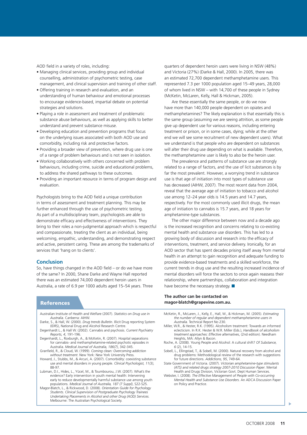AOD field in a variety of roles, including:

- Managing clinical services, providing group and individual counselling, administration of psychometric testing, case management, and clinical supervision and training of other staff.
- Offering training in research and evaluation, and an understanding of human behaviour and emotional processes to encourage evidence-based, impartial debate on potential strategies and solutions.
- Playing a role in assessment and treatment of problematic substance abuse behaviours, as well as applying skills to better understand and prevent substance misuse.
- Developing education and prevention programs that focus on the underlying issues associated with both AOD use and comorbidity, including risk and protective factors.
- Providing a broader view of prevention, where drug use is one of a range of problem behaviours and is not seen in isolation.
- Working collaboratively with others concerned with problem behaviours, including crime, suicide and educational problems, to address the shared pathways to these outcomes.
- Providing an important resource in terms of program design and evaluation.

Psychologists bring to the AOD field a unique contribution in terms of assessment and treatment planning. This may be further enhanced through the use of psychometric testing. As part of a multidisciplinary team, psychologists are able to demonstrate efficacy and effectiveness of interventions. They bring to their roles a non-judgmental approach which is respectful and compassionate, treating the client as an individual, being welcoming, empathic, understanding, and demonstrating respect and active, persistent caring. These are among the trademarks of services that 'hang on to clients'.

#### **Conclusion**

So, have things changed in the AOD field – or do we have more of the same? In 2000, Shane Darke and Wayne Hall reported there was an estimated 74,000 dependent heroin users in Australia, a rate of 6.9 per 1000 adults aged 15–54 years. Three

#### References

- Australian Institute of Health and Welfare (2007). *Statistics on Drug use in Australia*. Canberra: AIHW.
- Darke, S., & Hall, W. (2000). *Drug trends Bulletin*. Illicit Drug reporting System (IDRS), National Drug and Alcohol Research Centre. Degenhardt L., & Hall W. (2002). Cannabis and psychosis. *Current Psychiatry*
- *Reports, 4*, 191-196. Degenhardt, L., Roxburgh, A., & McKetin, R. (2007). Hospital separations
- for cannabis- and methamphetamine-related psychotic episodes in Australia. *Medical Journal of Australia, 186(7)*, 342-345. Granfield, R., & Cloud, W. (1999). *Coming clean: Overcoming addiction*
- *without treatment*. New York: New York University Press.
- Howard, J., Stubbs, M., & Arcuri, A. (2007). Comorbidity: coexisting substance use and mental disorders in young people. *Clinical Psychologist, 11(3)*, 88-97.
- Lubman, D.I., Hides, L., Yücel, M., & Toumbourou, J.W. (2007). What's the evidence? Early intervention in youth mental health: Intervening early to reduce developmentally harmful substance use among youth populations. *Medical Journal of Australia, 187 (7 Suppl)*, S22-S25.
- Magor-Blatch, L., & Rickwood, D. (2008). *Orientation Guide for Psychology Students. Clinical Supervision of Postgraduate Psychology Trainees Undertaking Placements in Alcohol and other Drug (AOD) Services.* Melbourne: The Australian Psychological Society.

quarters of dependent heroin users were living in NSW (48%) and Victoria (27%) (Darke & Hall, 2000). In 2005, there was an estimated 72,700 dependent methamphetamine users. This represented 7.3 per 1000 population aged 15–49 years, 28,000 of whom lived in NSW – with 14,700 of these people in Sydney (McKetin, McLaren, Kelly, Hall & Hickman, 2005).

Are these essentially the same people, or do we now have more than 140,000 people dependent on opiates and methamphetamines? The likely explanation is that essentially this is the same group (assuming we are seeing attrition, as some people give up dependent use for various reasons, including entering treatment or prison, or in some cases, dying; while at the other end we will see some recruitment of new dependent users). What we understand is that people who are dependent on substances will alter their drug use depending on what is available. Therefore, the methamphetamine user is likely to also be the heroin user.

The prevalence and patterns of substance use are strongly related to a range of factors, and the use of licit substances is by far the most prevalent. However, a worrying trend in substance use is that age of initiation into most types of substance use has decreased (AIHW, 2007). The most recent data from 2004, reveal that the average age of initiation to tobacco and alcohol use among 12–24 year olds is 14.5 years and 14.7 years, respectively. For the most commonly used illicit drugs, the mean age of initiation to cannabis is 15.7 years, and 18 years for amphetamine-type substances.

The other major difference between now and a decade ago is the increased recognition and concerns relating to co-existing mental health and substance use disorders. This has led to a growing body of discussion and research into the efficacy of interventions, treatment, and service delivery. Ironically, for an AOD sector that has spent decades prising itself away from mental health in an attempt to gain recognition and adequate funding to provide evidence-based treatments and a skilled workforce, the current trends in drug use and the resulting increased incidence of mental disorders will force the sectors to once again reassess their relationship, where partnerships, collaboration and integration have become the necessary strategy.  $\blacksquare$ 

#### **The author can be contacted on magor-blatch@grapevine.com.au.**

- McKetin, R., McLaren, J., Kelly, E., Hall, W., & Hickman, M. (2005). *Estimating the number of regular and dependent methamphetamine users in Australia.* Technical Report No 230.
- Miller, W.R., & Hester, R.K. (1995). Alcoholism treatment: Towards an informed eclecticism. In R.K. Hester & W.R. Miller (Eds.), *Handbook of alcoholism treatment approaches: Effective alternatives*, (2nd edition). Needham Heights, MA: Allyn & Bacon.
- Roche, A. (2008). Young People and Alcohol: A cultural shift? *Of Substance, 6* (2), 14-15.
- Sobell, L., Ellingstad, T., & Sobell, M. (2000). Natural recovery from alcohol and drug problems: Methodological review of the research with suggestions for future directions. *Addictions, 95*, 749-64.
- State Government of Victoria. (2007). *Victorian amphetamine-type stimulants (ATS) and related drugs strategy 2007-2010 Discussion Paper*. Mental Health and Drugs Division, Victorian Govt. Dept Human Services.
- Webster, I. (2008). *The Effective Management of People with Co-occurring Mental Health and Substance Use Disorders*. An ADCA Discussion Paper on Policy and Practice.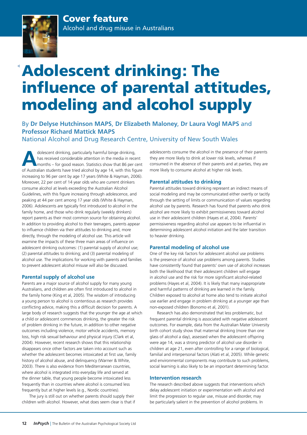

# Adolescent drinking: The influence of parental attitudes, modeling and alcohol supply

By **Dr Delyse Hutchinson MAPS**, **Dr Elizabeth Maloney**, **Dr Laura Vogl MAPS** and **Professor Richard Mattick MAPS**

National Alcohol and Drug Research Centre, University of New South Wales

dolescent drinking, particularly harmful binge drinking,<br>
has received considerable attention in the media in recent<br>
months – for good reason. Statistics show that 86 per cent<br>
of Australia students have tied also<br>hel by has received considerable attention in the media in recent of Australian students have tried alcohol by age 14, with this figure increasing to 96 per cent by age 17 years (White & Hayman, 2006). Moreover, 22 per cent of 14 year olds who are current drinkers consume alcohol at levels exceeding the Australian Alcohol Guidelines, with this figure increasing through adolescence, and peaking at 44 per cent among 17 year olds (White & Hayman, 2006). Adolescents are typically first introduced to alcohol in the family home, and those who drink regularly (weekly drinkers) report parents as their most common source for obtaining alcohol. In addition to providing alcohol to their teenagers, parents appear to influence children via their attitudes to drinking and, more directly, through the modeling of alcohol use. This article will examine the impacts of these three main areas of influence on adolescent drinking outcomes: (1) parental supply of alcohol use; (2) parental attitudes to drinking; and (3) parental modeling of alcohol use. The implications for working with parents and families to prevent adolescent alcohol misuse will also be discussed.

#### **Parental supply of alcohol use**

Parents are a major source of alcohol supply for many young Australians, and children are often first introduced to alcohol in the family home (King et al, 2005). The wisdom of introducing a young person to alcohol is contentious as research provides conflicting advice, making this a difficult decision for parents. A large body of research suggests that the younger the age at which a child or adolescent commences drinking, the greater the risk of problem drinking in the future, in addition to other negative outcomes including violence, motor vehicle accidents, memory loss, high risk sexual behaviour and physical injury (Clark et al, 2004). However, recent research shows that this relationship disappears once other factors are taken into account such as whether the adolescent becomes intoxicated at first use, family history of alcohol abuse, and delinquency (Warner & White, 2003). There is also evidence from Mediterranean countries, where alcohol is integrated into everyday life and served at the dinner table, that young people become intoxicated less frequently than in countries where alcohol is consumed less frequently but at higher levels (e.g., Nordic countries).

The jury is still out on whether parents should supply their children with alcohol. However, what does seem clear is that if adolescents consume the alcohol in the presence of their parents they are more likely to drink at lower risk levels, whereas if consumed in the absence of their parents and at parties, they are more likely to consume alcohol at higher risk levels.

#### **Parental attitudes to drinking**

Parental attitudes toward drinking represent an indirect means of social modeling and may be communicated either overtly or tacitly through the setting of limits or communication of values regarding alcohol use by parents. Research has found that parents who drink alcohol are more likely to exhibit permissiveness toward alcohol use in their adolescent children (Hayes et al, 2004). Parents' permissiveness regarding alcohol use appears to be influential in determining adolescent alcohol initiation and the later transition to heavier drinking.

#### **Parental modeling of alcohol use**

One of the key risk factors for adolescent alcohol use problems is the presence of alcohol use problems among parents. Studies have consistently found that parents' own use of alcohol increases both the likelihood that their adolescent children will engage in alcohol use and the risk for more significant alcohol-related problems (Hayes et al, 2004). It is likely that many inappropriate and harmful patterns of drinking are learned in the family. Children exposed to alcohol at home also tend to initiate alcohol use earlier and engage in problem drinking at a younger age than non-exposed children (Bonomo et al, 2001).

Research has also demonstrated that less problematic, but frequent parental drinking is associated with negative adolescent outcomes. For example, data from the Australian Mater University birth cohort study show that maternal drinking (more than one glass of alcohol a day), assessed when the adolescent offspring were age 14, was a strong predictor of alcohol use disorder in children at age 21, even after controlling for a range of biological, familial and interpersonal factors (Alati et al, 2005). While genetic and environmental components may contribute to such problems, social learning is also likely to be an important determining factor.

#### **Intervention research**

The research described above suggests that interventions which delay adolescent initiation or experimentation with alcohol and limit the progression to regular use, misuse and disorder, may be particularly salient in the prevention of alcohol problems. In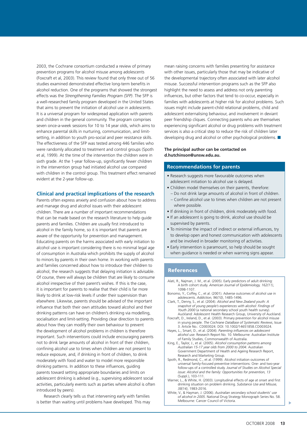2003, the Cochrane consortium conducted a review of primary prevention programs for alcohol misuse among adolescents (Foxcraft et al, 2003). This review found that only three out of 56 studies examined demonstrated effective long-term benefits in alcohol reduction. One of the programs that showed the strongest effects was the *Strengthening Families Program (SFP)*. The SFP is a well-researched family program developed in the United States that aims to prevent the initiation of alcohol use in adolescents. It is a universal program for widespread application with parents and children in the general community. The program comprises seven once-a-week sessions for 10 to 14 year olds, which aims to enhance parental skills in nurturing, communication, and limitsetting, in addition to youth pro-social and peer resistance skills. The effectiveness of the SFP was tested among 446 families who were randomly allocated to treatment and control groups (Spoth et al, 1999). At the time of the intervention the children were in sixth grade. At the 1-year follow-up, significantly fewer children in the intervention group had initiated alcohol use compared with children in the control group. This treatment effect remained evident at the 2-year follow-up.

#### **Clinical and practical implications of the research**

Parents often express anxiety and confusion about how to address and manage drug and alcohol issues with their adolescent children. There are a number of important recommendations that can be made based on the research literature to help guide parents and families. Children are usually first introduced to alcohol in the family home, so it is important that parents are aware of the opportunity for prevention and management. Educating parents on the harms associated with early initiation to alcohol use is important considering there is no minimal legal age of consumption in Australia which prohibits the supply of alcohol to minors by parents in their own home. In working with parents and families concerned about how to introduce their children to alcohol, the research suggests that delaying initiation is advisable. Of course, there will always be children that are likely to consume alcohol irrespective of their parent's wishes. If this is the case, it is important for parents to realise that their child is far more likely to drink at low-risk levels if under their supervision than elsewhere. Likewise, parents should be advised of the important influence that both their own attitudes toward alcohol and their drinking patterns can have on children's drinking via modelling, socialisation and limit-setting. Providing clear direction to parents about how they can modify their own behaviour to prevent the development of alcohol problems in children is therefore important. Such interventions could include encouraging parents not to drink large amounts of alcohol in front of their children, confining alcohol use to times when children are not present to reduce exposure, and, if drinking in front of children, to drink moderately with food and water to model more responsible drinking patterns. In addition to these influences, guiding parents toward setting appropriate boundaries and limits on adolescent drinking is advised (e.g., supervising adolescent social activities, particularly events such as parties where alcohol is often introduced by peers).

Research clearly tells us that intervening early with families is better than waiting until problems have developed. This may mean raising concerns with families presenting for assistance with other issues, particularly those that may be indicative of the developmental trajectory often associated with later alcohol misuse. Successful intervention programs such as the SFP also highlight the need to assess and address not only parenting influences, but other factors that tend to co-occur, especially in families with adolescents at higher risk for alcohol problems. Such issues might include parent-child relational problems, child and adolescent externalising behaviour, and involvement in deviant peer friendship cliques. Connecting parents who are themselves experiencing significant alcohol or drug problems with treatment services is also a critical step to reduce the risk of children later developing drug and alcohol or other psychological problems.

#### **The principal author can be contacted on d.hutchinson@unsw.edu.au.**

#### **Recommendations for parents**

- Research suggests more favourable outcomes when adolescent initiation to alcohol use is delayed.
- Children model themselves on their parents, therefore:
- Do not drink large amounts of alcohol in front of children. – Confine alcohol use to times when children are not present where possible.
- If drinking in front of children, drink moderately with food.
- If an adolescent is going to drink, alcohol use should be supervised by parents.
- To minimise the impact of indirect or external influences, try to develop open and honest communication with adolescents and be involved in broader monitoring of activities.
- Early intervention is paramount, so help should be sought when guidance is needed or when warning signs appear.

#### **References**

- Alati, R., Najman, J. M., et al. (2005). Early predictors of adult drinking: A birth cohort study. *American Journal of Epidemiology, 162(11)*, 1098-1107.
- Bonomo, Y., Coffey, C., et al. (2001). Adverse outcomes of alcohol use in adolescents. *Addiction, 96(10)*, 1485-1496.
- Clark, T., Denny, S., et al. (2004). *Alcohol and New Zealand youth: A snapshot of young people's experiences with alcohol: Findings of Youth 2000* (a national secondary school youth health survey). Auckland: Adolescent Health Research Group, University of Auckland.
- Foxcraft, D., Ireland, D., et al. (2003). Primary prevention for alcohol misuse in young people. *The Cochrane DataBase of Systematic Reviews*, Issue 3. Article No.: CD003024. DOI: 10.1002/14651858.CD003024.
- Hayes, L., Smart, D., et al. (2004). *Parenting influences on adolescent alcohol use*. Research Report No. 10. Melbourne: Australian Institute of Family Studies, Commonwealth of Australia.
- King, E., Taylor, J., et al. (2005). *Alcohol consumption patterns among Australian 15-17 year olds from 2000 to 2004*. Australian Government Department of Health and Ageing Research Report, Research and Marketing Group.
- Spoth, R., Redmond, C., et al. (1999). Alcohol initiation outcomes of universal family-focused preventive interventions: One- and two-year follow-ups of a controlled study. *Journal of Studies on Alcohol Special issue: Alcohol and the family: Opportunities for prevention, 13*  (Suppl.), 103-111.
- Warner, L., & White, H. (2003). Longitudinal effects of age at onset and first drinking situation on problem drinking. *Substance Use and Misuse, 38(14)*, 1983-2016.
- White, V., & Hayman, J. (2006). *Australian secondary school students' use of alcohol in 2005*. National Drug Strategy Monograph Series No. 58. Melbourne: Cancer Council of Victoria.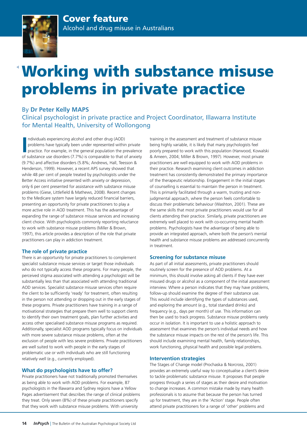

# Working with substance misuse problems in private practice

### By **Dr Peter Kelly MAPS**

Clinical psychologist in private practice and Project Coordinator, Illawarra Institute for Mental Health, University of Wollongong

Individuals experiencing alcohol and other drug (AOD) problems have typically been under represented within private practice. For example, in the general population the prevalence of substance use disorders (7.7%) is compa ndividuals experiencing alcohol and other drug (AOD) problems have typically been under represented within private practice. For example, in the general population the prevalence (9.7%) and affective disorders (5.8%; Andrews, Hall, Teesson & Henderson, 1999). However, a recent APS survey showed that while 48 per cent of people treated by psychologists under the Better Access initiative presented with anxiety or depression, only 6 per cent presented for assistance with substance misuse problems (Giese, Littlefield & Mathews, 2008). Recent changes to the Medicare system have largely reduced financial barriers, presenting an opportunity for private practitioners to play a more active role in AOD treatment. This has the advantage of expanding the range of substance misuse services and increasing client choice. With psychologists commonly reporting reluctance to work with substance misuse problems (Miller & Brown, 1997), this article provides a description of the role that private practitioners can play in addiction treatment.

#### **The role of private practice**

There is an opportunity for private practitioners to complement specialist substance misuse services or target those individuals who do not typically access these programs. For many people, the perceived stigma associated with attending a psychologist will be substantially less than that associated with attending traditional AOD services. Specialist substance misuse services often require the client to be sufficiently 'ready' for treatment, often resulting in the person not attending or dropping out in the early stages of these programs. Private practitioners have training in a range of motivational strategies that prepare them well to support clients to identify their own treatment goals, plan further activities and access other specialised substance misuse programs as required. Additionally, specialist AOD programs typically focus on individuals with more severe substance misuse problems, often at the exclusion of people with less severe problems. Private practitioners are well suited to work with people in the early stages of problematic use or with individuals who are still functioning relatively well (e.g., currently employed).

#### **What do psychologists have to offer?**

Private practitioners have not traditionally promoted themselves as being able to work with AOD problems. For example, 87 psychologists in the Illawarra and Sydney regions have a Yellow Pages advertisement that describes the range of clinical problems they treat. Only seven (8%) of these private practitioners specify that they work with substance misuse problems. With university

training in the assessment and treatment of substance misuse being highly variable, it is likely that many psychologists feel poorly prepared to work with this population (Harwood, Kowalski & Ameen, 2004; Miller & Brown, 1997). However, most private practitioners are well equipped to work with AOD problems in their practice. Research examining client outcomes in addiction treatment has consistently demonstrated the primary importance of the therapeutic relationship. Engagement in the initial stages of counselling is essential to maintain the person in treatment. This is primarily facilitated through a warm, trusting and nonjudgmental approach, where the person feels comfortable to discuss their problematic behaviour (Washton, 2001). These are the same skills that most private practitioners would use for all clients attending their practice. Similarly, private practitioners are extremely well placed to work with co-occurring mental health problems. Psychologists have the advantage of being able to provide an integrated approach, where both the person's mental health and substance misuse problems are addressed concurrently in treatment.

#### **Screening for substance misuse**

As part of all initial assessments, private practitioners should routinely screen for the presence of AOD problems. At a minimum, this should involve asking all clients if they have ever misused drugs or alcohol as a component of the initial assessment interview. Where a person indicates that they may have problems, follow-up should examine the degree of their substance use. This would include identifying the types of substances used, and exploring the amount (e.g., total standard drinks) and frequency (e.g., days per month) of use. This information can then be used to track progress. Substance misuse problems rarely occur in isolation. It is important to use a holistic approach to assessment that examines the person's individual needs and how the substance misuse impacts on the rest of the person's life. This should include examining mental health, family relationships, work functioning, physical health and possible legal problems.

#### **Intervention strategies**

The Stages of Change model (Prochaska & Norcross, 2001) provides an extremely useful way to conceptualise a client's desire to tackle problematic substance misuse. It proposes that people progress through a series of stages as their desire and motivation to change increases. A common mistake made by many health professionals is to assume that because the person has turned up for treatment, they are in the 'Action' stage. People often attend private practitioners for a range of 'other' problems and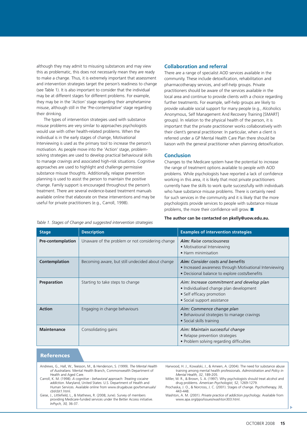although they may admit to misusing substances and may view this as problematic, this does not necessarily mean they are ready to make a change. Thus, it is extremely important that assessment and intervention strategies target the person's readiness to change (see Table 1). It is also important to consider that the individual may be at different stages for different problems. For example, they may be in the 'Action' stage regarding their amphetamine misuse, although still in the 'Pre-contemplative' stage regarding their drinking.

The types of intervention strategies used with substance misuse problems are very similar to approaches psychologists would use with other health-related problems. When the individual is in the early stages of change, Motivational Interviewing is used as the primary tool to increase the person's motivation. As people move into the 'Action' stage, problemsolving strategies are used to develop practical behavioural skills to manage cravings and associated high-risk situations. Cognitive approaches are used to highlight and challenge permissive substance misuse thoughts. Additionally, relapse prevention planning is used to assist the person to maintain the positive change. Family support is encouraged throughout the person's treatment. There are several evidence-based treatment manuals available online that elaborate on these interventions and may be useful for private practitioners (e.g., Carroll, 1998).

#### **Collaboration and referral**

There are a range of specialist AOD services available in the community. These include detoxification, rehabilitation and pharmacotherapy services, and self-help groups. Private practitioners should be aware of the services available in the local area and continue to provide clients with a choice regarding further treatments. For example, self-help groups are likely to provide valuable social support for many people (e.g., Alcoholics Anonymous, Self Management And Recovery Training [SMART] groups). In relation to the physical health of the person, it is important that the private practitioner works collaboratively with their client's general practitioner. In particular, when a client is referred under a GP Mental Health Care Plan there should be liaison with the general practitioner when planning detoxification.

#### **Conclusion**

Changes to the Medicare system have the potential to increase the range of treatment options available to people with AOD problems. While psychologists have reported a lack of confidence working in this area, it is likely that most private practitioners currently have the skills to work quite successfully with individuals who have substance misuse problems. There is certainly need for such services in the community and it is likely that the more psychologists provide services to people with substance misuse problems, the more their confidence will grow.  $\blacksquare$ 

#### **The author can be contacted on pkelly@uow.edu.au.**

*Table 1. Stages of Change and suggested intervention strategies*

| <b>Stage</b>             | <b>Description</b>                               | <b>Examples of intervention strategies</b>                                                                                                           |
|--------------------------|--------------------------------------------------|------------------------------------------------------------------------------------------------------------------------------------------------------|
| <b>Pre-contemplation</b> | Unaware of the problem or not considering change | Aim: Raise consciousness<br>• Motivational Interviewing<br>• Harm minimisation                                                                       |
| Contemplation            | Becoming aware, but still undecided about change | <b>Aim:</b> Consider costs and benefits<br>• Increased awareness through Motivational Interviewing<br>· Decisional balance to explore costs/benefits |
| Preparation              | Starting to take steps to change                 | Aim: Increase commitment and develop plan<br>• Individualised change plan development<br>• Self efficacy promotion<br>• Social support assistance    |
| <b>Action</b>            | Engaging in change behaviours                    | Aim: Commence change plan<br>• Behavioural strategies to manage cravings<br>• Social skills training                                                 |
| <b>Maintenance</b>       | Consolidating gains                              | Aim: Maintain successful change<br>• Relapse prevention strategies<br>• Problem solving regarding difficulties                                       |

#### **References**

- Andrews, G., Hall, W., Teesson, M., & Henderson, S. (1999). *The Mental Health of Australians.* Mental Health Branch, Commonwealth Department of Health and Aged Care.
- Carroll, K. M. (1998). *A cognitive behavioral approach: Treating cocaine addiction*. Maryland, United States: U.S. Department of Health and Human Services. Available online from www.drugabuse.gov/txmanuals/ cbt/cbt1.html.
- Giese, J., Littlefield, L., & Mathews, R. (2008, June). Survey of members providing Medicare-funded services under the Better Access initiative. *InPsych, 30,* 36-37.
- Harwood, H. J., Kowalski, J., & Ameen, A. (2004). The need for substance abuse training among mental health professionals. *Administration and Policy in Mental Health, 32*, 189-205. Miller, W. R., & Brown, S. A. (1997). Why psychologists should treat alcohol and
- drug problems. *American Psychologist, 52*, 1269-1279.
- Prochaska, J. O., & Norcross, J. C. (2001). Stages of change. *Psychotherapy, 38*, 443-448.
- Washton, A. M. (2001). *Private practice of addiction psychology*. Available from www.apa.org/ppo/issues/washton303.html.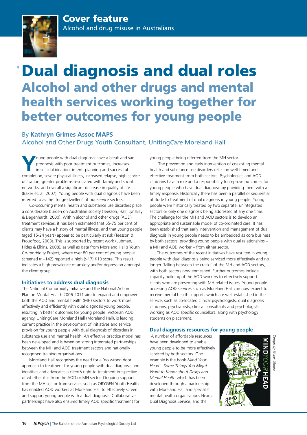

## Dual diagnosis and dual roles Alcohol and other drugs and mental health services working together for better outcomes for young people

## By **Kathryn Grimes Assoc MAPS** Alcohol and Other Drugs Youth Consultant, Uniting*Care* Moreland Hall

**Y**oung people with dual diagnosis have a bleak and sad prognosis with poor treatment outcomes, increases in suicidal ideation, intent, planning and successful completion, severe physical illness, increased relapse, high service utilisation, greater problems associated with family and social networks, and overall a significant decrease in quality of life (Baker et. al, 2007). Young people with dual diagnosis have been referred to as the 'fringe dwellers' of our service sectors.

Co-occurring mental health and substance use disorders place a considerable burden on Australian society (Teesson, Hall, Lynskey & Degenhardt, 2000). Within alcohol and other drugs (AOD) treatment services, it has been estimated that 55-75 per cent of clients may have a history of mental illness, and that young people (aged 15-24 years) appear to be particularly at risk (Teesson & Proudfoot, 2003). This is supported by recent work (Lubman, Hides & Elkins, 2008), as well as data from Moreland Hall's Youth Co-morbidity Project, where over 80 per cent of young people screened (n=142) reported a high (>17) K10 score. This result indicates a high prevalence of anxiety and/or depression amongst the client group.

#### **Initiatives to address dual diagnosis**

The National Comorbidity Initiative and the National Action Plan on Mental Health 2006-2011 aim to expand and empower both the AOD and mental health (MH) sectors to work more effectively and efficiently with dual diagnosis young people, resulting in better outcomes for young people. Victorian AOD agency, UnitingCare Moreland Hall (Moreland Hall), is leading current practice in the development of initiatives and service provision for young people with dual diagnosis of disorders in substance use and mental health. An effective practice model has been developed and is based on strong integrated partnerships between the MH and AOD treatment sectors and nationally recognised training organisations.

Moreland Hall recognises the need for a 'no wrong door' approach to treatment for young people with dual diagnosis and identifies and advocates a client's right to treatment irrespective of whether it is from the AOD or MH sector. Ongoing support from the MH sector from services such as ORYGEN Youth Health has enabled AOD workers at Moreland Hall to effectively screen and support young people with a dual diagnosis. Collaborative partnerships have also ensured timely AOD specific treatment for young people being referred from the MH sector.

 The prevention and early intervention of coexisting mental health and substance use disorders relies on well-timed and effective treatment from both sectors. Psychologists and AOD clinicians have a role and a responsibility to improve outcomes for young people who have dual diagnosis by providing them with a timely response. Historically there has been a parallel or sequential attitude to treatment of dual diagnosis in young people. Young people were historically treated by two separate, unintegrated sectors or only one diagnosis being addressed at any one time. The challenge for the MH and AOD sectors is to develop an appropriate and sustainable model of co-ordinated care. It has been established that early intervention and management of dual diagnosis in young people needs to be embedded as core business by both sectors, providing young people with dual relationships – a MH and AOD worker – from either sector.

The outcomes of the recent initiatives have resulted in young people with dual diagnosis being serviced more effectively and no longer 'falling between the cracks' of the MH and AOD sectors, with both sectors now enmeshed. Further outcomes include capacity building of the AOD workers to effectively support clients who are presenting with MH related issues. Young people accessing AOD services such as Moreland Hall can now expect to receive mental health supports which are well-established in the service, such as co-located clinical psychologists, dual diagnosis clinicians, psychiatrists, clinical consultants and psychologists working as AOD specific counsellors, along with psychology students on placement.

#### **Dual diagnosis resources for young people**

 A number of affordable resources have been developed to enable young people to be more effectively serviced by both sectors. One example is the book *Mind Your Head – Some Things You Might Want to Know about Drugs and Mental Health* which has been developed through a partnership with Moreland Hall and specialist mental health organisations Nexus Dual Diagnosis Service, and the



Design by Gozer Studic *Design by Gozer Studio*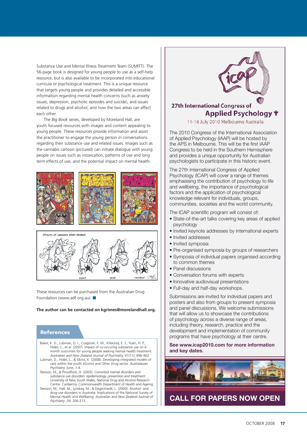Substance Use and Mental Illness Treatment Team (SUMITT). The 56-page book is designed for young people to use as a self-help resource, but is also available to be incorporated into educational curricula or psychological treatment. This is a unique resource that targets young people and provides detailed and accessible information regarding mental health concerns (such as anxiety issues, depression, psychotic episodes and suicide), and issues related to drugs and alcohol, and how the two areas can affect each other.

The *Big Book* series, developed by Moreland Hall, are youth focused resources with images and content appealing to young people. These resources provide information and assist the practitioner to engage the young person in conversations regarding their substance use and related issues. Images such as the cannabis cartoon (pictured) can initiate dialogue with young people on issues such as intoxication, patterns of use and long term effects of use, and the potential impact on mental health.



These resources can be purchased from the Australian Drug Foundation (www.adf.org.au).  $\blacksquare$ 

#### **The author can be contacted on kgrimes@morelandhall.org.**

#### **References**

- Baker, K. D., Lubman, D. I., Cosgrove, E. M., Killackey, E. J., Yuen, H. P., Hides, L., et al. (2007). Impact of co-occuring substance use on 6 month outcomes for young people seeking mental health treatment. *Australian and New Zealand Journal of Psychiatry, 41(11)*, 896-902.
- Lubman, D., Hides, L., & Elkins, K. (2008). Developing integrated models of care within the youth Alcohol and Other Drug sector. *Australasian Psychiatry, June, 1-*4.
- Teesson, M., & Proudfoot, H. (2003). *Comorbid mental disorders and substance use disorders: epidemiology, prevention and treatment.*  University of New South Wales, National Drug and Alcohol Research Centre. Canberrra: Commonwealth Department of Health and Ageing.
- Teesson, M., Hall, M., Lynskey, M., & Degenhardt, L. (2000). Alcohol- and drug-use disorders in Australia: Implications of the National Survey of Mental Health and Wellbeing. *Australian and New Zealand Journal of Psychiatry ,34,* 206-213.



### 27th International Congress of Applied Psychology Y

11-16 July 2010 Melbourne Australia

The 2010 Congress of the International Association of Applied Psychology (IAAP) will be hosted by the APS in Melbourne. This will be the first IAAP Congress to be held in the Southern Hemisphere and provides a unique opportunity for Australian psychologists to participate in this historic event.

The 27th International Congress of Applied Psychology (ICAP) will cover a range of themes emphasising the contribution of psychology to life and wellbeing, the importance of psychological factors and the application of psychological knowledge relevant for individuals, groups, communities, societies and the world community.

The ICAP scientific program will consist of:

- State-of-the-art talks covering key areas of applied psychology
- Invited keynote addresses by international experts
- Invited addresses
- Invited symposia
- Pre-organised symposia by groups of researchers
- Symposia of individual papers organised according to common themes
- Panel discussions
- Conversation forums with experts
- Innovative audiovisual presentations
- Full-day and half-day workshops.

Submissions are invited for individual papers and posters and also from groups to present symposia and panel discussions. We welcome submissions that will allow us to showcase the contributions of psychology across a diverse range of areas, including theory, research, practice and the development and implementation of community programs that have psychology at their centre.

#### **See www.icap2010.com for more information and key dates.**



**CALL FOR PAPERS NOW OPEN**